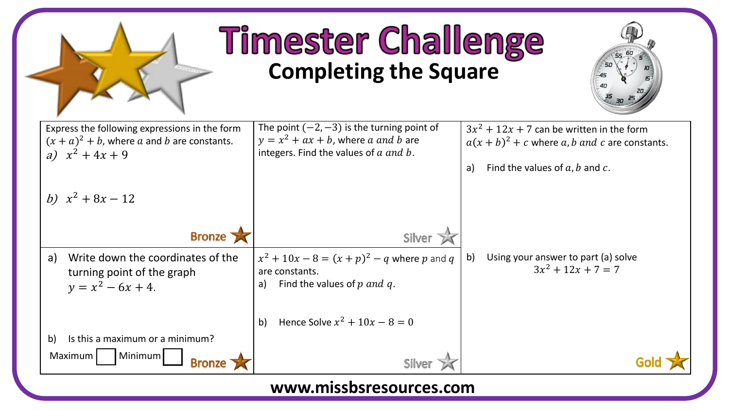

## **Timester Challenge Completing the Square**